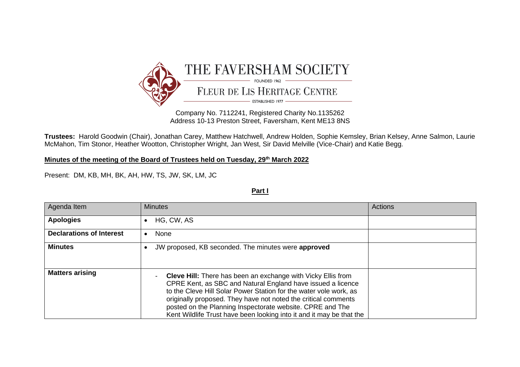

Company No. 7112241, Registered Charity No.1135262 Address 10-13 Preston Street, Faversham, Kent ME13 8NS

**Trustees:** Harold Goodwin (Chair), Jonathan Carey, Matthew Hatchwell, Andrew Holden, Sophie Kemsley, Brian Kelsey, Anne Salmon, Laurie McMahon, Tim Stonor, Heather Wootton, Christopher Wright, Jan West, Sir David Melville (Vice-Chair) and Katie Begg.

**Minutes of the meeting of the Board of Trustees held on Tuesday, 29th March 2022**

Present: DM, KB, MH, BK, AH, HW, TS, JW, SK, LM, JC

**Part I**

| Agenda Item                     | <b>Minutes</b>                                                                                                                                                                                                                                                                                                                                                                                                                   | <b>Actions</b> |
|---------------------------------|----------------------------------------------------------------------------------------------------------------------------------------------------------------------------------------------------------------------------------------------------------------------------------------------------------------------------------------------------------------------------------------------------------------------------------|----------------|
| <b>Apologies</b>                | HG, CW, AS<br>$\bullet$                                                                                                                                                                                                                                                                                                                                                                                                          |                |
| <b>Declarations of Interest</b> | None<br>$\bullet$                                                                                                                                                                                                                                                                                                                                                                                                                |                |
| <b>Minutes</b>                  | JW proposed, KB seconded. The minutes were approved<br>€                                                                                                                                                                                                                                                                                                                                                                         |                |
| <b>Matters arising</b>          | <b>Cleve Hill:</b> There has been an exchange with Vicky Ellis from<br>$\blacksquare$<br>CPRE Kent, as SBC and Natural England have issued a licence<br>to the Cleve Hill Solar Power Station for the water vole work, as<br>originally proposed. They have not noted the critical comments<br>posted on the Planning Inspectorate website. CPRE and The<br>Kent Wildlife Trust have been looking into it and it may be that the |                |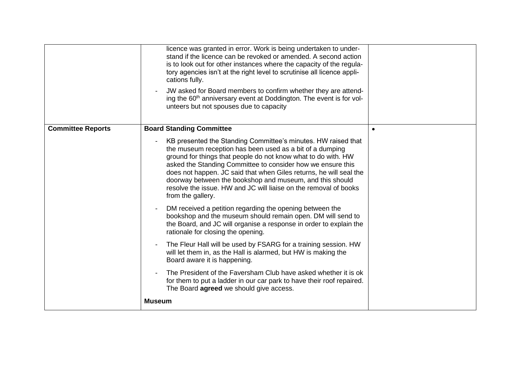|                          | licence was granted in error. Work is being undertaken to under-<br>stand if the licence can be revoked or amended. A second action<br>is to look out for other instances where the capacity of the regula-<br>tory agencies isn't at the right level to scrutinise all licence appli-<br>cations fully.<br>JW asked for Board members to confirm whether they are attend-<br>ing the 60 <sup>th</sup> anniversary event at Doddington. The event is for vol-<br>unteers but not spouses due to capacity |  |
|--------------------------|----------------------------------------------------------------------------------------------------------------------------------------------------------------------------------------------------------------------------------------------------------------------------------------------------------------------------------------------------------------------------------------------------------------------------------------------------------------------------------------------------------|--|
| <b>Committee Reports</b> | <b>Board Standing Committee</b>                                                                                                                                                                                                                                                                                                                                                                                                                                                                          |  |
|                          | KB presented the Standing Committee's minutes. HW raised that<br>the museum reception has been used as a bit of a dumping<br>ground for things that people do not know what to do with. HW<br>asked the Standing Committee to consider how we ensure this<br>does not happen. JC said that when Giles returns, he will seal the<br>doorway between the bookshop and museum, and this should<br>resolve the issue. HW and JC will liaise on the removal of books<br>from the gallery.                     |  |
|                          | DM received a petition regarding the opening between the<br>bookshop and the museum should remain open. DM will send to<br>the Board, and JC will organise a response in order to explain the<br>rationale for closing the opening.                                                                                                                                                                                                                                                                      |  |
|                          | The Fleur Hall will be used by FSARG for a training session. HW<br>will let them in, as the Hall is alarmed, but HW is making the<br>Board aware it is happening.                                                                                                                                                                                                                                                                                                                                        |  |
|                          | The President of the Faversham Club have asked whether it is ok<br>for them to put a ladder in our car park to have their roof repaired.<br>The Board <b>agreed</b> we should give access.                                                                                                                                                                                                                                                                                                               |  |
|                          | <b>Museum</b>                                                                                                                                                                                                                                                                                                                                                                                                                                                                                            |  |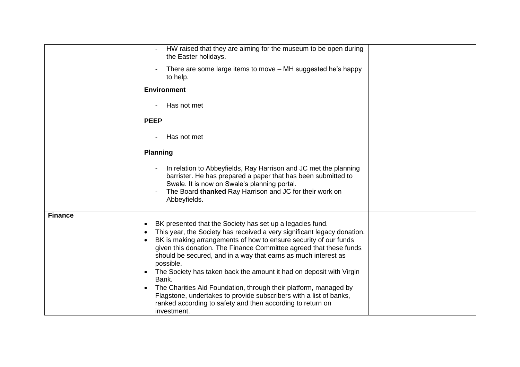|                | HW raised that they are aiming for the museum to be open during<br>the Easter holidays.                                                                                                                                                                                                                                                                                                                                                                                                                                                                                                                                                                                                                                  |
|----------------|--------------------------------------------------------------------------------------------------------------------------------------------------------------------------------------------------------------------------------------------------------------------------------------------------------------------------------------------------------------------------------------------------------------------------------------------------------------------------------------------------------------------------------------------------------------------------------------------------------------------------------------------------------------------------------------------------------------------------|
|                | There are some large items to move - MH suggested he's happy<br>to help.                                                                                                                                                                                                                                                                                                                                                                                                                                                                                                                                                                                                                                                 |
|                | <b>Environment</b>                                                                                                                                                                                                                                                                                                                                                                                                                                                                                                                                                                                                                                                                                                       |
|                | Has not met                                                                                                                                                                                                                                                                                                                                                                                                                                                                                                                                                                                                                                                                                                              |
|                | <b>PEEP</b>                                                                                                                                                                                                                                                                                                                                                                                                                                                                                                                                                                                                                                                                                                              |
|                | Has not met                                                                                                                                                                                                                                                                                                                                                                                                                                                                                                                                                                                                                                                                                                              |
|                | <b>Planning</b>                                                                                                                                                                                                                                                                                                                                                                                                                                                                                                                                                                                                                                                                                                          |
|                | In relation to Abbeyfields, Ray Harrison and JC met the planning<br>barrister. He has prepared a paper that has been submitted to<br>Swale. It is now on Swale's planning portal.<br>The Board thanked Ray Harrison and JC for their work on<br>Abbeyfields.                                                                                                                                                                                                                                                                                                                                                                                                                                                             |
| <b>Finance</b> | BK presented that the Society has set up a legacies fund.<br>$\bullet$<br>This year, the Society has received a very significant legacy donation.<br>$\bullet$<br>BK is making arrangements of how to ensure security of our funds<br>$\bullet$<br>given this donation. The Finance Committee agreed that these funds<br>should be secured, and in a way that earns as much interest as<br>possible.<br>The Society has taken back the amount it had on deposit with Virgin<br>Bank.<br>The Charities Aid Foundation, through their platform, managed by<br>$\bullet$<br>Flagstone, undertakes to provide subscribers with a list of banks,<br>ranked according to safety and then according to return on<br>investment. |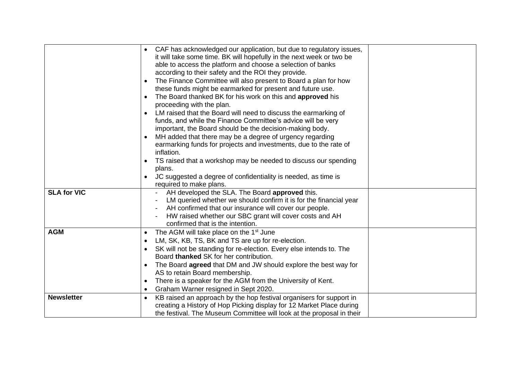|                    | CAF has acknowledged our application, but due to regulatory issues,<br>it will take some time. BK will hopefully in the next week or two be<br>able to access the platform and choose a selection of banks<br>according to their safety and the ROI they provide.<br>The Finance Committee will also present to Board a plan for how<br>$\bullet$<br>these funds might be earmarked for present and future use.<br>The Board thanked BK for his work on this and approved his<br>$\bullet$<br>proceeding with the plan.<br>LM raised that the Board will need to discuss the earmarking of<br>funds, and while the Finance Committee's advice will be very<br>important, the Board should be the decision-making body.<br>MH added that there may be a degree of urgency regarding<br>earmarking funds for projects and investments, due to the rate of<br>inflation.<br>TS raised that a workshop may be needed to discuss our spending<br>plans.<br>JC suggested a degree of confidentiality is needed, as time is<br>$\bullet$<br>required to make plans. |  |
|--------------------|--------------------------------------------------------------------------------------------------------------------------------------------------------------------------------------------------------------------------------------------------------------------------------------------------------------------------------------------------------------------------------------------------------------------------------------------------------------------------------------------------------------------------------------------------------------------------------------------------------------------------------------------------------------------------------------------------------------------------------------------------------------------------------------------------------------------------------------------------------------------------------------------------------------------------------------------------------------------------------------------------------------------------------------------------------------|--|
| <b>SLA for VIC</b> | AH developed the SLA. The Board approved this.<br>LM queried whether we should confirm it is for the financial year<br>AH confirmed that our insurance will cover our people.<br>HW raised whether our SBC grant will cover costs and AH<br>confirmed that is the intention.                                                                                                                                                                                                                                                                                                                                                                                                                                                                                                                                                                                                                                                                                                                                                                                 |  |
| <b>AGM</b>         | The AGM will take place on the 1 <sup>st</sup> June<br>$\bullet$<br>LM, SK, KB, TS, BK and TS are up for re-election.<br>$\bullet$<br>SK will not be standing for re-election. Every else intends to. The<br>$\bullet$<br>Board thanked SK for her contribution.<br>The Board <b>agreed</b> that DM and JW should explore the best way for<br>$\bullet$<br>AS to retain Board membership.<br>There is a speaker for the AGM from the University of Kent.<br>$\bullet$<br>Graham Warner resigned in Sept 2020.<br>$\bullet$                                                                                                                                                                                                                                                                                                                                                                                                                                                                                                                                   |  |
| <b>Newsletter</b>  | KB raised an approach by the hop festival organisers for support in<br>$\bullet$<br>creating a History of Hop Picking display for 12 Market Place during<br>the festival. The Museum Committee will look at the proposal in their                                                                                                                                                                                                                                                                                                                                                                                                                                                                                                                                                                                                                                                                                                                                                                                                                            |  |